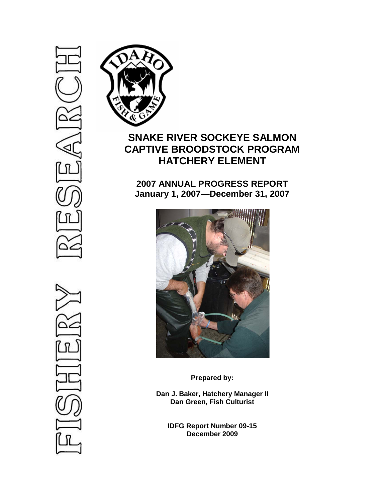

# **SNAKE RIVER SOCKEYE SALMON CAPTIVE BROODSTOCK PROGRAM HATCHERY ELEMENT**

**2007 ANNUAL PROGRESS REPORT January 1, 2007—December 31, 2007**



**Prepared by:**

**Dan J. Baker, Hatchery Manager II Dan Green, Fish Culturist**

**IDFG Report Number 09-15 December 2009**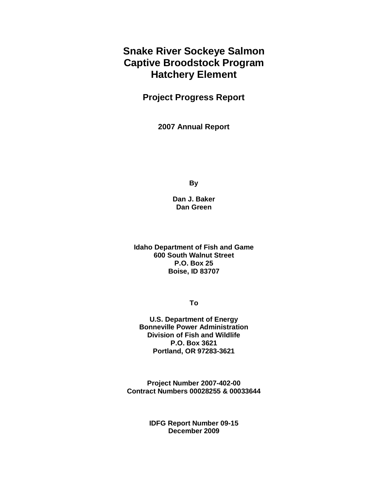# **Snake River Sockeye Salmon Captive Broodstock Program Hatchery Element**

**Project Progress Report**

**2007 Annual Report**

**By**

**Dan J. Baker Dan Green**

**Idaho Department of Fish and Game 600 South Walnut Street P.O. Box 25 Boise, ID 83707**

**To**

**U.S. Department of Energy Bonneville Power Administration Division of Fish and Wildlife P.O. Box 3621 Portland, OR 97283-3621**

**Project Number 2007-402-00 Contract Numbers 00028255 & 00033644**

> **IDFG Report Number 09-15 December 2009**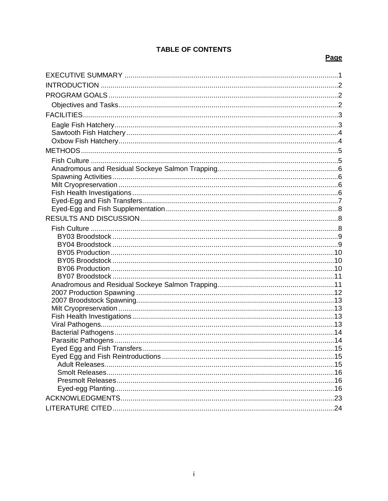# **TABLE OF CONTENTS**

# Page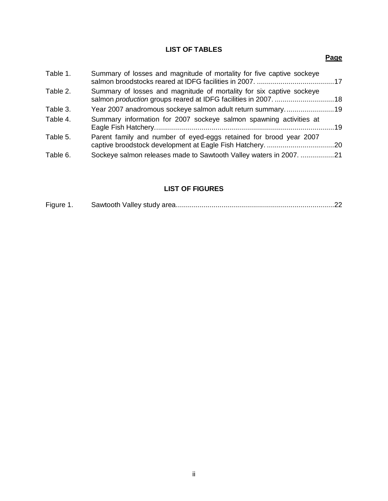# **LIST OF TABLES**

# **Page**

| Table 1. | Summary of losses and magnitude of mortality for five captive sockeye |  |
|----------|-----------------------------------------------------------------------|--|
| Table 2. | Summary of losses and magnitude of mortality for six captive sockeye  |  |
| Table 3. | Year 2007 anadromous sockeye salmon adult return summary19            |  |
| Table 4. | Summary information for 2007 sockeye salmon spawning activities at    |  |
| Table 5. | Parent family and number of eyed-eggs retained for brood year 2007    |  |
| Table 6. | Sockeye salmon releases made to Sawtooth Valley waters in 2007. 21    |  |

# **LIST OF FIGURES**

| Figure 1 |  |  |
|----------|--|--|
|----------|--|--|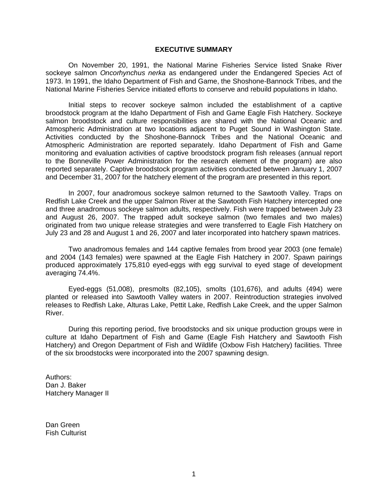#### **EXECUTIVE SUMMARY**

<span id="page-4-0"></span>On November 20, 1991, the National Marine Fisheries Service listed Snake River sockeye salmon *Oncorhynchus nerka* as endangered under the Endangered Species Act of 1973. In 1991, the Idaho Department of Fish and Game, the Shoshone-Bannock Tribes, and the National Marine Fisheries Service initiated efforts to conserve and rebuild populations in Idaho.

Initial steps to recover sockeye salmon included the establishment of a captive broodstock program at the Idaho Department of Fish and Game Eagle Fish Hatchery. Sockeye salmon broodstock and culture responsibilities are shared with the National Oceanic and Atmospheric Administration at two locations adjacent to Puget Sound in Washington State. Activities conducted by the Shoshone-Bannock Tribes and the National Oceanic and Atmospheric Administration are reported separately. Idaho Department of Fish and Game monitoring and evaluation activities of captive broodstock program fish releases (annual report to the Bonneville Power Administration for the research element of the program) are also reported separately. Captive broodstock program activities conducted between January 1, 2007 and December 31, 2007 for the hatchery element of the program are presented in this report.

In 2007, four anadromous sockeye salmon returned to the Sawtooth Valley. Traps on Redfish Lake Creek and the upper Salmon River at the Sawtooth Fish Hatchery intercepted one and three anadromous sockeye salmon adults, respectively. Fish were trapped between July 23 and August 26, 2007. The trapped adult sockeye salmon (two females and two males) originated from two unique release strategies and were transferred to Eagle Fish Hatchery on July 23 and 28 and August 1 and 26, 2007 and later incorporated into hatchery spawn matrices.

Two anadromous females and 144 captive females from brood year 2003 (one female) and 2004 (143 females) were spawned at the Eagle Fish Hatchery in 2007. Spawn pairings produced approximately 175,810 eyed-eggs with egg survival to eyed stage of development averaging 74.4%.

Eyed-eggs (51,008), presmolts (82,105), smolts (101,676), and adults (494) were planted or released into Sawtooth Valley waters in 2007. Reintroduction strategies involved releases to Redfish Lake, Alturas Lake, Pettit Lake, Redfish Lake Creek, and the upper Salmon River.

During this reporting period, five broodstocks and six unique production groups were in culture at Idaho Department of Fish and Game (Eagle Fish Hatchery and Sawtooth Fish Hatchery) and Oregon Department of Fish and Wildlife (Oxbow Fish Hatchery) facilities. Three of the six broodstocks were incorporated into the 2007 spawning design.

Authors: Dan J. Baker Hatchery Manager II

Dan Green Fish Culturist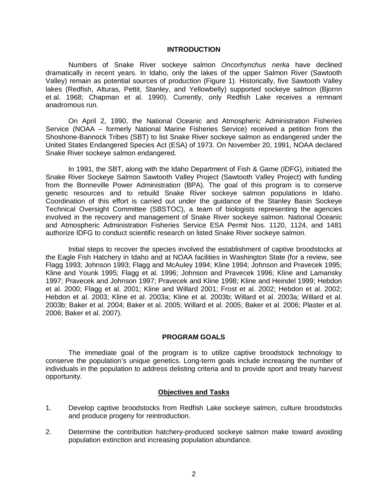#### **INTRODUCTION**

<span id="page-5-0"></span>Numbers of Snake River sockeye salmon *Oncorhynchus nerka* have declined dramatically in recent years. In Idaho, only the lakes of the upper Salmon River (Sawtooth Valley) remain as potential sources of production (Figure 1). Historically, five Sawtooth Valley lakes (Redfish, Alturas, Pettit, Stanley, and Yellowbelly) supported sockeye salmon (Bjornn et al. 1968; Chapman et al. 1990). Currently, only Redfish Lake receives a remnant anadromous run.

On April 2, 1990, the National Oceanic and Atmospheric Administration Fisheries Service (NOAA – formerly National Marine Fisheries Service) received a petition from the Shoshone-Bannock Tribes (SBT) to list Snake River sockeye salmon as endangered under the United States Endangered Species Act (ESA) of 1973. On November 20, 1991, NOAA declared Snake River sockeye salmon endangered.

In 1991, the SBT, along with the Idaho Department of Fish & Game (IDFG), initiated the Snake River Sockeye Salmon Sawtooth Valley Project (Sawtooth Valley Project) with funding from the Bonneville Power Administration (BPA). The goal of this program is to conserve genetic resources and to rebuild Snake River sockeye salmon populations in Idaho. Coordination of this effort is carried out under the guidance of the Stanley Basin Sockeye Technical Oversight Committee (SBSTOC), a team of biologists representing the agencies involved in the recovery and management of Snake River sockeye salmon. National Oceanic and Atmospheric Administration Fisheries Service ESA Permit Nos. 1120, 1124, and 1481 authorize IDFG to conduct scientific research on listed Snake River sockeye salmon.

Initial steps to recover the species involved the establishment of captive broodstocks at the Eagle Fish Hatchery in Idaho and at NOAA facilities in Washington State (for a review, see Flagg 1993; Johnson 1993; Flagg and McAuley 1994; Kline 1994; Johnson and Pravecek 1995; Kline and Younk 1995; Flagg et al. 1996; Johnson and Pravecek 1996; Kline and Lamansky 1997; Pravecek and Johnson 1997; Pravecek and Kline 1998; Kline and Heindel 1999; Hebdon et al. 2000; Flagg et al. 2001; Kline and Willard 2001; Frost et al. 2002; Hebdon et al. 2002; Hebdon et al. 2003; Kline et al. 2003a; Kline et al. 2003b; Willard et al. 2003a; Willard et al. 2003b; Baker et al. 2004; Baker et al. 2005; Willard et al. 2005; Baker et al. 2006; Plaster et al. 2006; Baker et al. 2007).

#### **PROGRAM GOALS**

<span id="page-5-1"></span>The immediate goal of the program is to utilize captive broodstock technology to conserve the population's unique genetics. Long-term goals include increasing the number of individuals in the population to address delisting criteria and to provide sport and treaty harvest opportunity.

## **Objectives and Tasks**

- <span id="page-5-2"></span>1. Develop captive broodstocks from Redfish Lake sockeye salmon, culture broodstocks and produce progeny for reintroduction.
- 2. Determine the contribution hatchery-produced sockeye salmon make toward avoiding population extinction and increasing population abundance.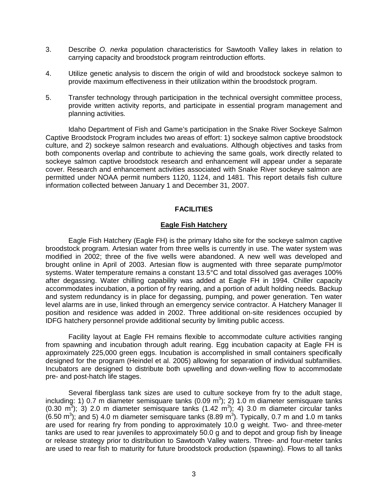- 3. Describe *O. nerka* population characteristics for Sawtooth Valley lakes in relation to carrying capacity and broodstock program reintroduction efforts.
- 4. Utilize genetic analysis to discern the origin of wild and broodstock sockeye salmon to provide maximum effectiveness in their utilization within the broodstock program.
- 5. Transfer technology through participation in the technical oversight committee process, provide written activity reports, and participate in essential program management and planning activities.

Idaho Department of Fish and Game's participation in the Snake River Sockeye Salmon Captive Broodstock Program includes two areas of effort: 1) sockeye salmon captive broodstock culture, and 2) sockeye salmon research and evaluations. Although objectives and tasks from both components overlap and contribute to achieving the same goals, work directly related to sockeye salmon captive broodstock research and enhancement will appear under a separate cover. Research and enhancement activities associated with Snake River sockeye salmon are permitted under NOAA permit numbers 1120, 1124, and 1481. This report details fish culture information collected between January 1 and December 31, 2007.

### **FACILITIES**

#### **Eagle Fish Hatchery**

<span id="page-6-1"></span><span id="page-6-0"></span>Eagle Fish Hatchery (Eagle FH) is the primary Idaho site for the sockeye salmon captive broodstock program. Artesian water from three wells is currently in use. The water system was modified in 2002; three of the five wells were abandoned. A new well was developed and brought online in April of 2003. Artesian flow is augmented with three separate pump/motor systems. Water temperature remains a constant 13.5°C and total dissolved gas averages 100% after degassing. Water chilling capability was added at Eagle FH in 1994. Chiller capacity accommodates incubation, a portion of fry rearing, and a portion of adult holding needs. Backup and system redundancy is in place for degassing, pumping, and power generation. Ten water level alarms are in use, linked through an emergency service contractor. A Hatchery Manager II position and residence was added in 2002. Three additional on-site residences occupied by IDFG hatchery personnel provide additional security by limiting public access.

Facility layout at Eagle FH remains flexible to accommodate culture activities ranging from spawning and incubation through adult rearing. Egg incubation capacity at Eagle FH is approximately 225,000 green eggs. Incubation is accomplished in small containers specifically designed for the program (Heindel et al. 2005) allowing for separation of individual subfamilies. Incubators are designed to distribute both upwelling and down-welling flow to accommodate pre- and post-hatch life stages.

Several fiberglass tank sizes are used to culture sockeye from fry to the adult stage, including: 1) 0.7 m diameter semisquare tanks (0.09 m<sup>3</sup>); 2) 1.0 m diameter semisquare tanks  $(0.30 \text{ m}^3)$ ; 3) 2.0 m diameter semisquare tanks  $(1.42 \text{ m}^3)$ ; 4) 3.0 m diameter circular tanks (6.50 m<sup>3</sup>); and 5) 4.0 m diameter semisquare tanks (8.89 m<sup>3</sup>). Typically, 0.7 m and 1.0 m tanks are used for rearing fry from ponding to approximately 10.0 g weight. Two- and three-meter tanks are used to rear juveniles to approximately 50.0 g and to depot and group fish by lineage or release strategy prior to distribution to Sawtooth Valley waters. Three- and four-meter tanks are used to rear fish to maturity for future broodstock production (spawning). Flows to all tanks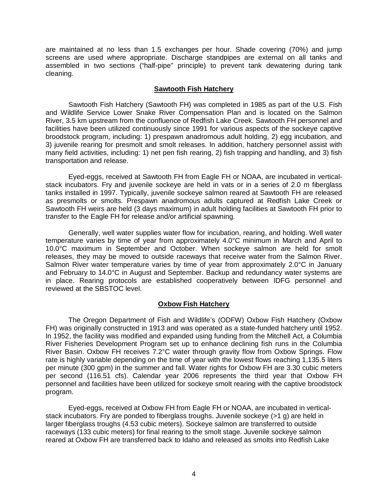are maintained at no less than 1.5 exchanges per hour. Shade covering (70%) and jump screens are used where appropriate. Discharge standpipes are external on all tanks and assembled in two sections ("half-pipe" principle) to prevent tank dewatering during tank cleaning.

#### **Sawtooth Fish Hatchery**

<span id="page-7-0"></span>Sawtooth Fish Hatchery (Sawtooth FH) was completed in 1985 as part of the U.S. Fish and Wildlife Service Lower Snake River Compensation Plan and is located on the Salmon River, 3.5 km upstream from the confluence of Redfish Lake Creek. Sawtooth FH personnel and facilities have been utilized continuously since 1991 for various aspects of the sockeye captive broodstock program, including: 1) prespawn anadromous adult holding, 2) egg incubation, and 3) juvenile rearing for presmolt and smolt releases. In addition, hatchery personnel assist with many field activities, including: 1) net pen fish rearing, 2) fish trapping and handling, and 3) fish transportation and release.

Eyed-eggs, received at Sawtooth FH from Eagle FH or NOAA, are incubated in verticalstack incubators. Fry and juvenile sockeye are held in vats or in a series of 2.0 m fiberglass tanks installed in 1997. Typically, juvenile sockeye salmon reared at Sawtooth FH are released as presmolts or smolts. Prespawn anadromous adults captured at Redfish Lake Creek or Sawtooth FH weirs are held (3 days maximum) in adult holding facilities at Sawtooth FH prior to transfer to the Eagle FH for release and/or artificial spawning.

Generally, well water supplies water flow for incubation, rearing, and holding. Well water temperature varies by time of year from approximately 4.0°C minimum in March and April to 10.0°C maximum in September and October. When sockeye salmon are held for smolt releases, they may be moved to outside raceways that receive water from the Salmon River. Salmon River water temperature varies by time of year from approximately 2.0°C in January and February to 14.0°C in August and September. Backup and redundancy water systems are in place. Rearing protocols are established cooperatively between IDFG personnel and reviewed at the SBSTOC level.

# **Oxbow Fish Hatchery**

<span id="page-7-1"></span>The Oregon Department of Fish and Wildlife's (ODFW) Oxbow Fish Hatchery (Oxbow FH) was originally constructed in 1913 and was operated as a state-funded hatchery until 1952. In 1952, the facility was modified and expanded using funding from the Mitchell Act, a Columbia River Fisheries Development Program set up to enhance declining fish runs in the Columbia River Basin. Oxbow FH receives 7.2°C water through gravity flow from Oxbow Springs. Flow rate is highly variable depending on the time of year with the lowest flows reaching 1,135.5 liters per minute (300 gpm) in the summer and fall. Water rights for Oxbow FH are 3.30 cubic meters per second (116.51 cfs). Calendar year 2006 represents the third year that Oxbow FH personnel and facilities have been utilized for sockeye smolt rearing with the captive broodstock program.

Eyed-eggs, received at Oxbow FH from Eagle FH or NOAA, are incubated in verticalstack incubators. Fry are ponded to fiberglass troughs. Juvenile sockeye (>1 g) are held in larger fiberglass troughs (4.53 cubic meters). Sockeye salmon are transferred to outside raceways (133 cubic meters) for final rearing to the smolt stage. Juvenile sockeye salmon reared at Oxbow FH are transferred back to Idaho and released as smolts into Redfish Lake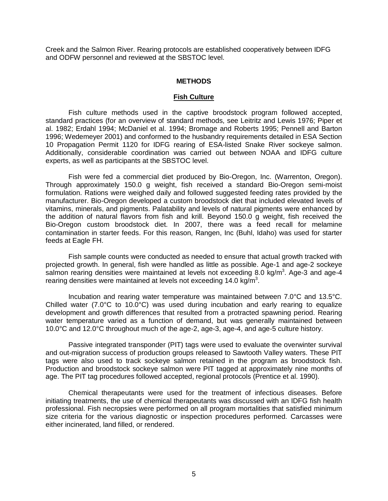<span id="page-8-0"></span>Creek and the Salmon River. Rearing protocols are established cooperatively between IDFG and ODFW personnel and reviewed at the SBSTOC level.

#### **METHODS**

#### **Fish Culture**

<span id="page-8-1"></span>Fish culture methods used in the captive broodstock program followed accepted, standard practices (for an overview of standard methods, see Leitritz and Lewis 1976; Piper et al. 1982; Erdahl 1994; McDaniel et al. 1994; Bromage and Roberts 1995; Pennell and Barton 1996; Wedemeyer 2001) and conformed to the husbandry requirements detailed in ESA Section 10 Propagation Permit 1120 for IDFG rearing of ESA-listed Snake River sockeye salmon. Additionally, considerable coordination was carried out between NOAA and IDFG culture experts, as well as participants at the SBSTOC level.

Fish were fed a commercial diet produced by Bio-Oregon, Inc. (Warrenton, Oregon). Through approximately 150.0 g weight, fish received a standard Bio-Oregon semi-moist formulation. Rations were weighed daily and followed suggested feeding rates provided by the manufacturer. Bio-Oregon developed a custom broodstock diet that included elevated levels of vitamins, minerals, and pigments. Palatability and levels of natural pigments were enhanced by the addition of natural flavors from fish and krill. Beyond 150.0 g weight, fish received the Bio-Oregon custom broodstock diet. In 2007, there was a feed recall for melamine contamination in starter feeds. For this reason, Rangen, Inc (Buhl, Idaho) was used for starter feeds at Eagle FH.

Fish sample counts were conducted as needed to ensure that actual growth tracked with projected growth. In general, fish were handled as little as possible. Age-1 and age-2 sockeye salmon rearing densities were maintained at levels not exceeding 8.0 kg/m<sup>3</sup>. Age-3 and age-4 rearing densities were maintained at levels not exceeding 14.0 kg/m<sup>3</sup>.

Incubation and rearing water temperature was maintained between 7.0°C and 13.5°C. Chilled water (7.0°C to 10.0°C) was used during incubation and early rearing to equalize development and growth differences that resulted from a protracted spawning period. Rearing water temperature varied as a function of demand, but was generally maintained between 10.0°C and 12.0°C throughout much of the age-2, age-3, age-4, and age-5 culture history.

Passive integrated transponder (PIT) tags were used to evaluate the overwinter survival and out-migration success of production groups released to Sawtooth Valley waters. These PIT tags were also used to track sockeye salmon retained in the program as broodstock fish. Production and broodstock sockeye salmon were PIT tagged at approximately nine months of age. The PIT tag procedures followed accepted, regional protocols (Prentice et al. 1990).

Chemical therapeutants were used for the treatment of infectious diseases. Before initiating treatments, the use of chemical therapeutants was discussed with an IDFG fish health professional. Fish necropsies were performed on all program mortalities that satisfied minimum size criteria for the various diagnostic or inspection procedures performed. Carcasses were either incinerated, land filled, or rendered.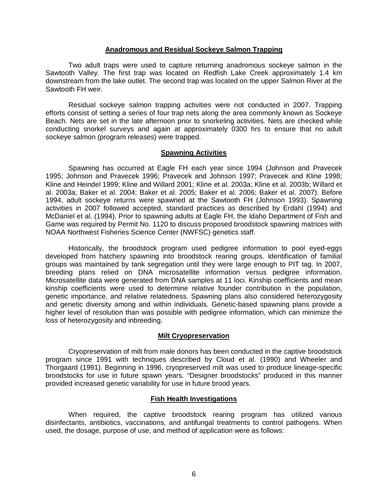#### **Anadromous and Residual Sockeye Salmon Trapping**

<span id="page-9-0"></span>Two adult traps were used to capture returning anadromous sockeye salmon in the Sawtooth Valley. The first trap was located on Redfish Lake Creek approximately 1.4 km downstream from the lake outlet. The second trap was located on the upper Salmon River at the Sawtooth FH weir.

Residual sockeye salmon trapping activities were not conducted in 2007. Trapping efforts consist of setting a series of four trap nets along the area commonly known as Sockeye Beach. Nets are set in the late afternoon prior to snorkeling activities. Nets are checked while conducting snorkel surveys and again at approximately 0300 hrs to ensure that no adult sockeye salmon (program releases) were trapped.

#### **Spawning Activities**

<span id="page-9-1"></span>Spawning has occurred at Eagle FH each year since 1994 (Johnson and Pravecek 1995; Johnson and Pravecek 1996; Pravecek and Johnson 1997; Pravecek and Kline 1998; Kline and Heindel 1999; Kline and Willard 2001; Kline et al. 2003a; Kline et al. 2003b; Willard et al. 2003a; Baker et al. 2004; Baker et al. 2005; Baker et al. 2006; Baker et al. 2007). Before 1994, adult sockeye returns were spawned at the Sawtooth FH (Johnson 1993). Spawning activities in 2007 followed accepted, standard practices as described by Erdahl (1994) and McDaniel et al. (1994). Prior to spawning adults at Eagle FH, the Idaho Department of Fish and Game was required by Permit No. 1120 to discuss proposed broodstock spawning matrices with NOAA Northwest Fisheries Science Center (NWFSC) genetics staff.

Historically, the broodstock program used pedigree information to pool eyed-eggs developed from hatchery spawning into broodstock rearing groups. Identification of familial groups was maintained by tank segregation until they were large enough to PIT tag. In 2007, breeding plans relied on DNA microsatellite information versus pedigree information. Microsatellite data were generated from DNA samples at 11 loci. Kinship coefficients and mean kinship coefficients were used to determine relative founder contribution in the population, genetic importance, and relative relatedness. Spawning plans also considered heterozygosity and genetic diversity among and within individuals. Genetic-based spawning plans provide a higher level of resolution than was possible with pedigree information, which can minimize the loss of heterozygosity and inbreeding.

#### **Milt Cryopreservation**

<span id="page-9-2"></span>Cryopreservation of milt from male donors has been conducted in the captive broodstock program since 1991 with techniques described by Cloud et al. (1990) and Wheeler and Thorgaard (1991). Beginning in 1996, cryopreserved milt was used to produce lineage-specific broodstocks for use in future spawn years. "Designer broodstocks" produced in this manner provided increased genetic variability for use in future brood years.

#### **Fish Health Investigations**

<span id="page-9-3"></span>When required, the captive broodstock rearing program has utilized various disinfectants, antibiotics, vaccinations, and antifungal treatments to control pathogens. When used, the dosage, purpose of use, and method of application were as follows: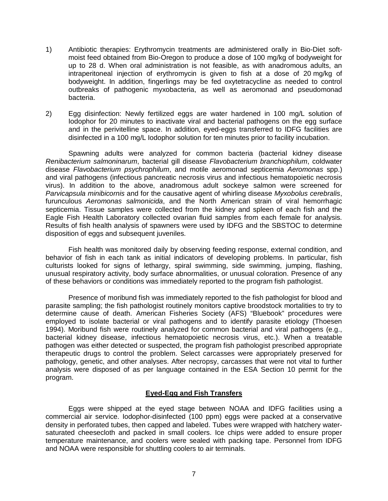- 1) Antibiotic therapies: Erythromycin treatments are administered orally in Bio-Diet softmoist feed obtained from Bio-Oregon to produce a dose of 100 mg/kg of bodyweight for up to 28 d. When oral administration is not feasible, as with anadromous adults, an intraperitoneal injection of erythromycin is given to fish at a dose of 20 mg/kg of bodyweight. In addition, fingerlings may be fed oxytetracycline as needed to control outbreaks of pathogenic myxobacteria, as well as aeromonad and pseudomonad bacteria.
- 2) Egg disinfection: Newly fertilized eggs are water hardened in 100 mg/L solution of Iodophor for 20 minutes to inactivate viral and bacterial pathogens on the egg surface and in the perivitelline space. In addition, eyed-eggs transferred to IDFG facilities are disinfected in a 100 mg/L Iodophor solution for ten minutes prior to facility incubation.

Spawning adults were analyzed for common bacteria (bacterial kidney disease *Renibacterium salmoninarum*, bacterial gill disease *Flavobacterium branchiophilum*, coldwater disease *Flavobacterium psychrophilum*, and motile aeromonad septicemia *Aeromonas* spp.) and viral pathogens (infectious pancreatic necrosis virus and infectious hematopoietic necrosis virus). In addition to the above, anadromous adult sockeye salmon were screened for *Parvicapsula minibicornis* and for the causative agent of whirling disease *Myxobolus cerebralis*, furunculous *Aeromonas salmonicida*, and the North American strain of viral hemorrhagic septicemia. Tissue samples were collected from the kidney and spleen of each fish and the Eagle Fish Health Laboratory collected ovarian fluid samples from each female for analysis. Results of fish health analysis of spawners were used by IDFG and the SBSTOC to determine disposition of eggs and subsequent juveniles.

Fish health was monitored daily by observing feeding response, external condition, and behavior of fish in each tank as initial indicators of developing problems. In particular, fish culturists looked for signs of lethargy, spiral swimming, side swimming, jumping, flashing, unusual respiratory activity, body surface abnormalities, or unusual coloration. Presence of any of these behaviors or conditions was immediately reported to the program fish pathologist.

Presence of moribund fish was immediately reported to the fish pathologist for blood and parasite sampling; the fish pathologist routinely monitors captive broodstock mortalities to try to determine cause of death. American Fisheries Society (AFS) "Bluebook" procedures were employed to isolate bacterial or viral pathogens and to identify parasite etiology (Thoesen 1994). Moribund fish were routinely analyzed for common bacterial and viral pathogens (e.g., bacterial kidnev disease, infectious hematopoietic necrosis virus, etc.). When a treatable pathogen was either detected or suspected, the program fish pathologist prescribed appropriate therapeutic drugs to control the problem. Select carcasses were appropriately preserved for pathology, genetic, and other analyses. After necropsy, carcasses that were not vital to further analysis were disposed of as per language contained in the ESA Section 10 permit for the program.

# **Eyed-Egg and Fish Transfers**

<span id="page-10-0"></span>Eggs were shipped at the eyed stage between NOAA and IDFG facilities using a commercial air service. Iodophor-disinfected (100 ppm) eggs were packed at a conservative density in perforated tubes, then capped and labeled. Tubes were wrapped with hatchery watersaturated cheesecloth and packed in small coolers. Ice chips were added to ensure proper temperature maintenance, and coolers were sealed with packing tape. Personnel from IDFG and NOAA were responsible for shuttling coolers to air terminals.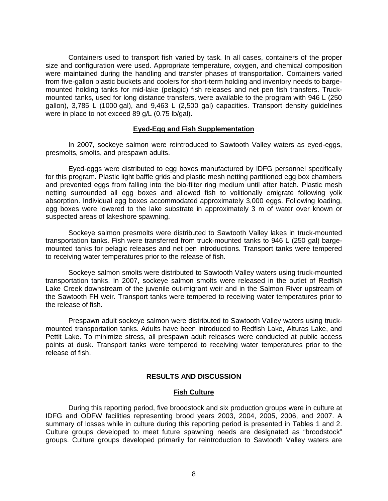Containers used to transport fish varied by task. In all cases, containers of the proper size and configuration were used. Appropriate temperature, oxygen, and chemical composition were maintained during the handling and transfer phases of transportation. Containers varied from five-gallon plastic buckets and coolers for short-term holding and inventory needs to bargemounted holding tanks for mid-lake (pelagic) fish releases and net pen fish transfers. Truckmounted tanks, used for long distance transfers, were available to the program with 946 L (250 gallon), 3,785 L (1000 gal), and 9,463 L (2,500 gal) capacities. Transport density guidelines were in place to not exceed 89 g/L (0.75 lb/gal).

#### **Eyed-Egg and Fish Supplementation**

<span id="page-11-0"></span>In 2007, sockeye salmon were reintroduced to Sawtooth Valley waters as eyed-eggs, presmolts, smolts, and prespawn adults.

Eyed-eggs were distributed to egg boxes manufactured by IDFG personnel specifically for this program. Plastic light baffle grids and plastic mesh netting partitioned egg box chambers and prevented eggs from falling into the bio-filter ring medium until after hatch. Plastic mesh netting surrounded all egg boxes and allowed fish to volitionally emigrate following yolk absorption. Individual egg boxes accommodated approximately 3,000 eggs. Following loading, egg boxes were lowered to the lake substrate in approximately 3 m of water over known or suspected areas of lakeshore spawning.

Sockeye salmon presmolts were distributed to Sawtooth Valley lakes in truck-mounted transportation tanks. Fish were transferred from truck-mounted tanks to 946 L (250 gal) bargemounted tanks for pelagic releases and net pen introductions. Transport tanks were tempered to receiving water temperatures prior to the release of fish.

Sockeye salmon smolts were distributed to Sawtooth Valley waters using truck-mounted transportation tanks. In 2007, sockeye salmon smolts were released in the outlet of Redfish Lake Creek downstream of the juvenile out-migrant weir and in the Salmon River upstream of the Sawtooth FH weir. Transport tanks were tempered to receiving water temperatures prior to the release of fish.

Prespawn adult sockeye salmon were distributed to Sawtooth Valley waters using truckmounted transportation tanks. Adults have been introduced to Redfish Lake, Alturas Lake, and Pettit Lake. To minimize stress, all prespawn adult releases were conducted at public access points at dusk. Transport tanks were tempered to receiving water temperatures prior to the release of fish.

## **RESULTS AND DISCUSSION**

#### **Fish Culture**

<span id="page-11-2"></span><span id="page-11-1"></span>During this reporting period, five broodstock and six production groups were in culture at IDFG and ODFW facilities representing brood years 2003, 2004, 2005, 2006, and 2007. A summary of losses while in culture during this reporting period is presented in Tables 1 and 2. Culture groups developed to meet future spawning needs are designated as "broodstock" groups. Culture groups developed primarily for reintroduction to Sawtooth Valley waters are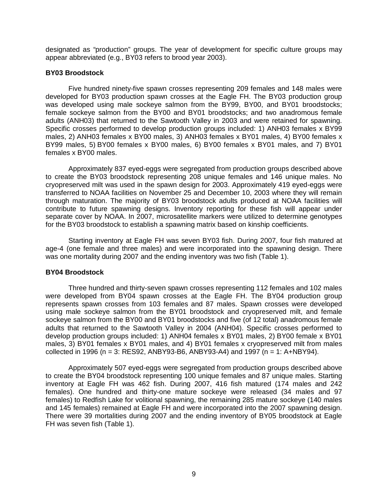designated as "production" groups. The year of development for specific culture groups may appear abbreviated (e.g., BY03 refers to brood year 2003).

### <span id="page-12-0"></span>**BY03 Broodstock**

Five hundred ninety-five spawn crosses representing 209 females and 148 males were developed for BY03 production spawn crosses at the Eagle FH. The BY03 production group was developed using male sockeye salmon from the BY99, BY00, and BY01 broodstocks; female sockeye salmon from the BY00 and BY01 broodstocks; and two anadromous female adults (ANH03) that returned to the Sawtooth Valley in 2003 and were retained for spawning. Specific crosses performed to develop production groups included: 1) ANH03 females x BY99 males, 2) ANH03 females x BY00 males, 3) ANH03 females x BY01 males, 4) BY00 females x BY99 males, 5) BY00 females x BY00 males, 6) BY00 females x BY01 males, and 7) BY01 females x BY00 males.

Approximately 837 eyed-eggs were segregated from production groups described above to create the BY03 broodstock representing 208 unique females and 146 unique males. No cryopreserved milt was used in the spawn design for 2003. Approximately 419 eyed-eggs were transferred to NOAA facilities on November 25 and December 10, 2003 where they will remain through maturation. The majority of BY03 broodstock adults produced at NOAA facilities will contribute to future spawning designs. Inventory reporting for these fish will appear under separate cover by NOAA. In 2007, microsatellite markers were utilized to determine genotypes for the BY03 broodstock to establish a spawning matrix based on kinship coefficients.

Starting inventory at Eagle FH was seven BY03 fish. During 2007, four fish matured at age-4 (one female and three males) and were incorporated into the spawning design. There was one mortality during 2007 and the ending inventory was two fish (Table 1).

#### <span id="page-12-1"></span>**BY04 Broodstock**

Three hundred and thirty-seven spawn crosses representing 112 females and 102 males were developed from BY04 spawn crosses at the Eagle FH. The BY04 production group represents spawn crosses from 103 females and 87 males. Spawn crosses were developed using male sockeye salmon from the BY01 broodstock and cryopreserved milt, and female sockeye salmon from the BY00 and BY01 broodstocks and five (of 12 total) anadromous female adults that returned to the Sawtooth Valley in 2004 (ANH04). Specific crosses performed to develop production groups included: 1) ANH04 females x BY01 males, 2) BY00 female x BY01 males, 3) BY01 females x BY01 males, and 4) BY01 females x cryopreserved milt from males collected in 1996 ( $n = 3$ : RES92, ANBY93-B6, ANBY93-A4) and 1997 ( $n = 1$ : A+NBY94).

Approximately 507 eyed-eggs were segregated from production groups described above to create the BY04 broodstock representing 100 unique females and 87 unique males. Starting inventory at Eagle FH was 462 fish. During 2007, 416 fish matured (174 males and 242 females). One hundred and thirty-one mature sockeye were released (34 males and 97 females) to Redfish Lake for volitional spawning, the remaining 285 mature sockeye (140 males and 145 females) remained at Eagle FH and were incorporated into the 2007 spawning design. There were 39 mortalities during 2007 and the ending inventory of BY05 broodstock at Eagle FH was seven fish (Table 1).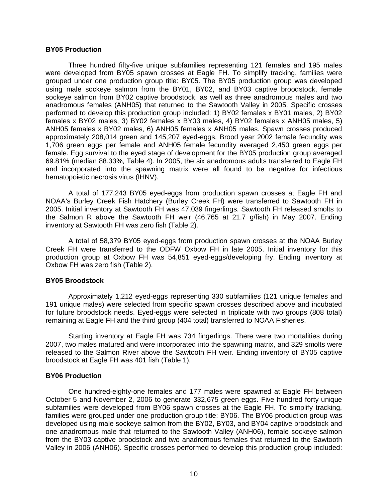#### <span id="page-13-0"></span>**BY05 Production**

Three hundred fifty-five unique subfamilies representing 121 females and 195 males were developed from BY05 spawn crosses at Eagle FH. To simplify tracking, families were grouped under one production group title: BY05. The BY05 production group was developed using male sockeye salmon from the BY01, BY02, and BY03 captive broodstock, female sockeye salmon from BY02 captive broodstock, as well as three anadromous males and two anadromous females (ANH05) that returned to the Sawtooth Valley in 2005. Specific crosses performed to develop this production group included: 1) BY02 females x BY01 males, 2) BY02 females x BY02 males, 3) BY02 females x BY03 males, 4) BY02 females x ANH05 males, 5) ANH05 females x BY02 males, 6) ANH05 females x ANH05 males. Spawn crosses produced approximately 208,014 green and 145,207 eyed-eggs. Brood year 2002 female fecundity was 1,706 green eggs per female and ANH05 female fecundity averaged 2,450 green eggs per female. Egg survival to the eyed stage of development for the BY05 production group averaged 69.81% (median 88.33%, Table 4). In 2005, the six anadromous adults transferred to Eagle FH and incorporated into the spawning matrix were all found to be negative for infectious hematopoietic necrosis virus (IHNV).

A total of 177,243 BY05 eyed-eggs from production spawn crosses at Eagle FH and NOAA's Burley Creek Fish Hatchery (Burley Creek FH) were transferred to Sawtooth FH in 2005. Initial inventory at Sawtooth FH was 47,039 fingerlings. Sawtooth FH released smolts to the Salmon R above the Sawtooth FH weir (46,765 at 21.7 g/fish) in May 2007. Ending inventory at Sawtooth FH was zero fish (Table 2).

A total of 58,379 BY05 eyed-eggs from production spawn crosses at the NOAA Burley Creek FH were transferred to the ODFW Oxbow FH in late 2005. Initial inventory for this production group at Oxbow FH was 54,851 eyed-eggs/developing fry. Ending inventory at Oxbow FH was zero fish (Table 2).

#### <span id="page-13-1"></span>**BY05 Broodstock**

Approximately 1,212 eyed-eggs representing 330 subfamilies (121 unique females and 191 unique males) were selected from specific spawn crosses described above and incubated for future broodstock needs. Eyed-eggs were selected in triplicate with two groups (808 total) remaining at Eagle FH and the third group (404 total) transferred to NOAA Fisheries.

Starting inventory at Eagle FH was 734 fingerlings. There were two mortalities during 2007, two males matured and were incorporated into the spawning matrix, and 329 smolts were released to the Salmon River above the Sawtooth FH weir. Ending inventory of BY05 captive broodstock at Eagle FH was 401 fish (Table 1).

#### <span id="page-13-2"></span>**BY06 Production**

One hundred-eighty-one females and 177 males were spawned at Eagle FH between October 5 and November 2, 2006 to generate 332,675 green eggs. Five hundred forty unique subfamilies were developed from BY06 spawn crosses at the Eagle FH. To simplify tracking, families were grouped under one production group title: BY06. The BY06 production group was developed using male sockeye salmon from the BY02, BY03, and BY04 captive broodstock and one anadromous male that returned to the Sawtooth Valley (ANH06), female sockeye salmon from the BY03 captive broodstock and two anadromous females that returned to the Sawtooth Valley in 2006 (ANH06). Specific crosses performed to develop this production group included: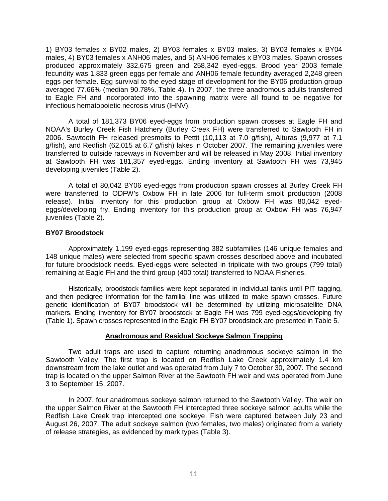1) BY03 females x BY02 males, 2) BY03 females x BY03 males, 3) BY03 females x BY04 males, 4) BY03 females x ANH06 males, and 5) ANH06 females x BY03 males. Spawn crosses produced approximately 332,675 green and 258,342 eyed-eggs. Brood year 2003 female fecundity was 1,833 green eggs per female and ANH06 female fecundity averaged 2,248 green eggs per female. Egg survival to the eyed stage of development for the BY06 production group averaged 77.66% (median 90.78%, Table 4). In 2007, the three anadromous adults transferred to Eagle FH and incorporated into the spawning matrix were all found to be negative for infectious hematopoietic necrosis virus (IHNV).

A total of 181,373 BY06 eyed-eggs from production spawn crosses at Eagle FH and NOAA's Burley Creek Fish Hatchery (Burley Creek FH) were transferred to Sawtooth FH in 2006. Sawtooth FH released presmolts to Pettit (10,113 at 7.0 g/fish), Alturas (9,977 at 7.1 g/fish), and Redfish (62,015 at 6.7 g/fish) lakes in October 2007. The remaining juveniles were transferred to outside raceways in November and will be released in May 2008. Initial inventory at Sawtooth FH was 181,357 eyed-eggs. Ending inventory at Sawtooth FH was 73,945 developing juveniles (Table 2).

A total of 80,042 BY06 eyed-eggs from production spawn crosses at Burley Creek FH were transferred to ODFW's Oxbow FH in late 2006 for full-term smolt production (2008 release). Initial inventory for this production group at Oxbow FH was 80,042 eyedeggs/developing fry. Ending inventory for this production group at Oxbow FH was 76,947 juveniles (Table 2).

#### <span id="page-14-0"></span>**BY07 Broodstock**

Approximately 1,199 eyed-eggs representing 382 subfamilies (146 unique females and 148 unique males) were selected from specific spawn crosses described above and incubated for future broodstock needs. Eyed-eggs were selected in triplicate with two groups (799 total) remaining at Eagle FH and the third group (400 total) transferred to NOAA Fisheries.

Historically, broodstock families were kept separated in individual tanks until PIT tagging, and then pedigree information for the familial line was utilized to make spawn crosses. Future genetic identification of BY07 broodstock will be determined by utilizing microsatellite DNA markers. Ending inventory for BY07 broodstock at Eagle FH was 799 eyed-eggs/developing fry (Table 1). Spawn crosses represented in the Eagle FH BY07 broodstock are presented in Table 5.

#### **Anadromous and Residual Sockeye Salmon Trapping**

<span id="page-14-1"></span>Two adult traps are used to capture returning anadromous sockeye salmon in the Sawtooth Valley. The first trap is located on Redfish Lake Creek approximately 1.4 km downstream from the lake outlet and was operated from July 7 to October 30, 2007. The second trap is located on the upper Salmon River at the Sawtooth FH weir and was operated from June 3 to September 15, 2007.

In 2007, four anadromous sockeye salmon returned to the Sawtooth Valley. The weir on the upper Salmon River at the Sawtooth FH intercepted three sockeye salmon adults while the Redfish Lake Creek trap intercepted one sockeye. Fish were captured between July 23 and August 26, 2007. The adult sockeye salmon (two females, two males) originated from a variety of release strategies, as evidenced by mark types (Table 3).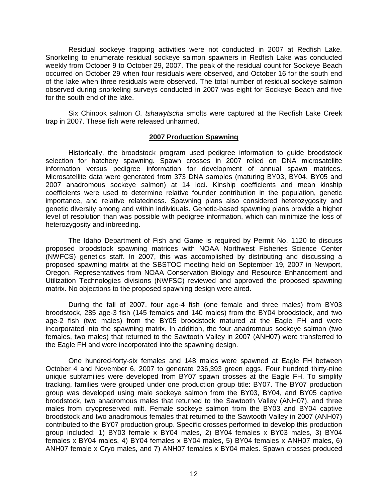Residual sockeye trapping activities were not conducted in 2007 at Redfish Lake. Snorkeling to enumerate residual sockeye salmon spawners in Redfish Lake was conducted weekly from October 9 to October 29, 2007. The peak of the residual count for Sockeye Beach occurred on October 29 when four residuals were observed, and October 16 for the south end of the lake when three residuals were observed. The total number of residual sockeye salmon observed during snorkeling surveys conducted in 2007 was eight for Sockeye Beach and five for the south end of the lake.

<span id="page-15-0"></span>Six Chinook salmon *O. tshawytscha* smolts were captured at the Redfish Lake Creek trap in 2007. These fish were released unharmed.

#### **2007 Production Spawning**

Historically, the broodstock program used pedigree information to guide broodstock selection for hatchery spawning. Spawn crosses in 2007 relied on DNA microsatellite information versus pedigree information for development of annual spawn matrices. Microsatellite data were generated from 373 DNA samples (maturing BY03, BY04, BY05 and 2007 anadromous sockeye salmon) at 14 loci. Kinship coefficients and mean kinship coefficients were used to determine relative founder contribution in the population, genetic importance, and relative relatedness. Spawning plans also considered heterozygosity and genetic diversity among and within individuals. Genetic-based spawning plans provide a higher level of resolution than was possible with pedigree information, which can minimize the loss of heterozygosity and inbreeding.

The Idaho Department of Fish and Game is required by Permit No. 1120 to discuss proposed broodstock spawning matrices with NOAA Northwest Fisheries Science Center (NWFCS) genetics staff. In 2007, this was accomplished by distributing and discussing a proposed spawning matrix at the SBSTOC meeting held on September 19, 2007 in Newport, Oregon. Representatives from NOAA Conservation Biology and Resource Enhancement and Utilization Technologies divisions (NWFSC) reviewed and approved the proposed spawning matrix. No objections to the proposed spawning design were aired.

During the fall of 2007, four age-4 fish (one female and three males) from BY03 broodstock, 285 age-3 fish (145 females and 140 males) from the BY04 broodstock, and two age-2 fish (two males) from the BY05 broodstock matured at the Eagle FH and were incorporated into the spawning matrix. In addition, the four anadromous sockeye salmon (two females, two males) that returned to the Sawtooth Valley in 2007 (ANH07) were transferred to the Eagle FH and were incorporated into the spawning design.

One hundred-forty-six females and 148 males were spawned at Eagle FH between October 4 and November 6, 2007 to generate 236,393 green eggs. Four hundred thirty-nine unique subfamilies were developed from BY07 spawn crosses at the Eagle FH. To simplify tracking, families were grouped under one production group title: BY07. The BY07 production group was developed using male sockeye salmon from the BY03, BY04, and BY05 captive broodstock, two anadromous males that returned to the Sawtooth Valley (ANH07), and three males from cryopreserved milt. Female sockeye salmon from the BY03 and BY04 captive broodstock and two anadromous females that returned to the Sawtooth Valley in 2007 (ANH07) contributed to the BY07 production group. Specific crosses performed to develop this production group included: 1) BY03 female x BY04 males, 2) BY04 females x BY03 males, 3) BY04 females x BY04 males, 4) BY04 females x BY04 males, 5) BY04 females x ANH07 males, 6) ANH07 female x Cryo males, and 7) ANH07 females x BY04 males. Spawn crosses produced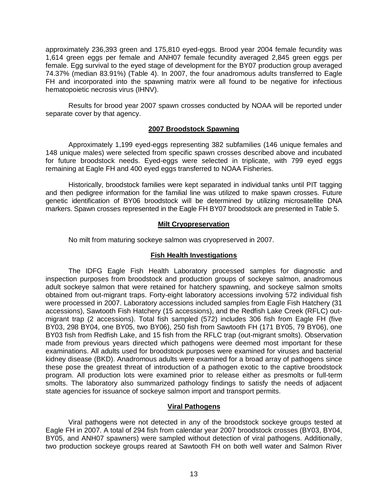approximately 236,393 green and 175,810 eyed-eggs. Brood year 2004 female fecundity was 1,614 green eggs per female and ANH07 female fecundity averaged 2,845 green eggs per female. Egg survival to the eyed stage of development for the BY07 production group averaged 74.37% (median 83.91%) (Table 4). In 2007, the four anadromous adults transferred to Eagle FH and incorporated into the spawning matrix were all found to be negative for infectious hematopoietic necrosis virus (IHNV).

<span id="page-16-0"></span>Results for brood year 2007 spawn crosses conducted by NOAA will be reported under separate cover by that agency.

#### **2007 Broodstock Spawning**

Approximately 1,199 eyed-eggs representing 382 subfamilies (146 unique females and 148 unique males) were selected from specific spawn crosses described above and incubated for future broodstock needs. Eyed-eggs were selected in triplicate, with 799 eyed eggs remaining at Eagle FH and 400 eyed eggs transferred to NOAA Fisheries.

<span id="page-16-1"></span>Historically, broodstock families were kept separated in individual tanks until PIT tagging and then pedigree information for the familial line was utilized to make spawn crosses. Future genetic identification of BY06 broodstock will be determined by utilizing microsatellite DNA markers. Spawn crosses represented in the Eagle FH BY07 broodstock are presented in Table 5.

# **Milt Cryopreservation**

No milt from maturing sockeye salmon was cryopreserved in 2007.

# **Fish Health Investigations**

<span id="page-16-2"></span>The IDFG Eagle Fish Health Laboratory processed samples for diagnostic and inspection purposes from broodstock and production groups of sockeye salmon, anadromous adult sockeye salmon that were retained for hatchery spawning, and sockeye salmon smolts obtained from out-migrant traps. Forty-eight laboratory accessions involving 572 individual fish were processed in 2007. Laboratory accessions included samples from Eagle Fish Hatchery (31 accessions), Sawtooth Fish Hatchery (15 accessions), and the Redfish Lake Creek (RFLC) outmigrant trap (2 accessions). Total fish sampled (572) includes 306 fish from Eagle FH (five BY03, 298 BY04, one BY05, two BY06), 250 fish from Sawtooth FH (171 BY05, 79 BY06), one BY03 fish from Redfish Lake, and 15 fish from the RFLC trap (out-migrant smolts). Observation made from previous years directed which pathogens were deemed most important for these examinations. All adults used for broodstock purposes were examined for viruses and bacterial kidney disease (BKD). Anadromous adults were examined for a broad array of pathogens since these pose the greatest threat of introduction of a pathogen exotic to the captive broodstock program. All production lots were examined prior to release either as presmolts or full-term smolts. The laboratory also summarized pathology findings to satisfy the needs of adjacent state agencies for issuance of sockeye salmon import and transport permits.

# **Viral Pathogens**

<span id="page-16-3"></span>Viral pathogens were not detected in any of the broodstock sockeye groups tested at Eagle FH in 2007. A total of 294 fish from calendar year 2007 broodstock crosses (BY03, BY04, BY05, and ANH07 spawners) were sampled without detection of viral pathogens. Additionally, two production sockeye groups reared at Sawtooth FH on both well water and Salmon River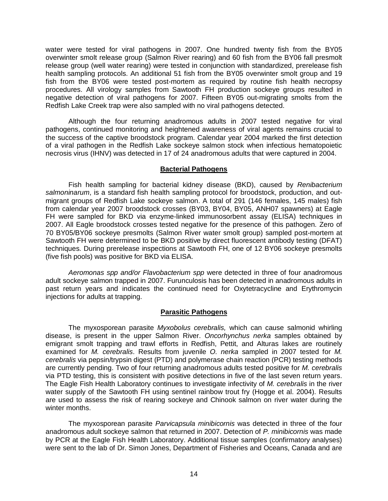water were tested for viral pathogens in 2007. One hundred twenty fish from the BY05 overwinter smolt release group (Salmon River rearing) and 60 fish from the BY06 fall presmolt release group (well water rearing) were tested in conjunction with standardized, prerelease fish health sampling protocols. An additional 51 fish from the BY05 overwinter smolt group and 19 fish from the BY06 were tested post-mortem as required by routine fish health necropsy procedures. All virology samples from Sawtooth FH production sockeye groups resulted in negative detection of viral pathogens for 2007. Fifteen BY05 out-migrating smolts from the Redfish Lake Creek trap were also sampled with no viral pathogens detected.

Although the four returning anadromous adults in 2007 tested negative for viral pathogens, continued monitoring and heightened awareness of viral agents remains crucial to the success of the captive broodstock program. Calendar year 2004 marked the first detection of a viral pathogen in the Redfish Lake sockeye salmon stock when infectious hematopoietic necrosis virus (IHNV) was detected in 17 of 24 anadromous adults that were captured in 2004.

### **Bacterial Pathogens**

<span id="page-17-0"></span>Fish health sampling for bacterial kidney disease (BKD), caused by *Renibacterium salmoninarum*, is a standard fish health sampling protocol for broodstock, production, and outmigrant groups of Redfish Lake sockeye salmon. A total of 291 (146 females, 145 males) fish from calendar year 2007 broodstock crosses (BY03, BY04, BY05, ANH07 spawners) at Eagle FH were sampled for BKD via enzyme-linked immunosorbent assay (ELISA) techniques in 2007. All Eagle broodstock crosses tested negative for the presence of this pathogen. Zero of 70 BY05/BY06 sockeye presmolts (Salmon River water smolt group) sampled post-mortem at Sawtooth FH were determined to be BKD positive by direct fluorescent antibody testing (DFAT) techniques. During prerelease inspections at Sawtooth FH, one of 12 BY06 sockeye presmolts (five fish pools) was positive for BKD via ELISA.

*Aeromonas spp and/or Flavobacterium spp* were detected in three of four anadromous adult sockeye salmon trapped in 2007. Furunculosis has been detected in anadromous adults in past return years and indicates the continued need for Oxytetracycline and Erythromycin injections for adults at trapping.

#### **Parasitic Pathogens**

<span id="page-17-1"></span>The myxosporean parasite *Myxobolus cerebralis,* which can cause salmonid whirling disease, is present in the upper Salmon River. *Oncorhynchus nerka* samples obtained by emigrant smolt trapping and trawl efforts in Redfish, Pettit, and Alturas lakes are routinely examined for *M. cerebralis*. Results from juvenile *O. nerka* sampled in 2007 tested for *M. cerebralis* via pepsin/trypsin digest (PTD) and polymerase chain reaction (PCR) testing methods are currently pending. Two of four returning anadromous adults tested positive for *M. cerebralis*  via PTD testing, this is consistent with positive detections in five of the last seven return years. The Eagle Fish Health Laboratory continues to investigate infectivity of *M. cerebralis* in the river water supply of the Sawtooth FH using sentinel rainbow trout fry (Hogge et al. 2004). Results are used to assess the risk of rearing sockeye and Chinook salmon on river water during the winter months.

The myxosporean parasite *Parvicapsula minibicornis* was detected in three of the four anadromous adult sockeye salmon that returned in 2007. Detection of *P. minibicornis* was made by PCR at the Eagle Fish Health Laboratory. Additional tissue samples (confirmatory analyses) were sent to the lab of Dr. Simon Jones, Department of Fisheries and Oceans, Canada and are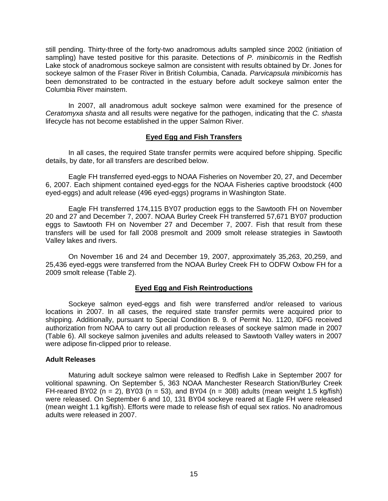still pending. Thirty-three of the forty-two anadromous adults sampled since 2002 (initiation of sampling) have tested positive for this parasite. Detections of *P. minibicornis* in the Redfish Lake stock of anadromous sockeye salmon are consistent with results obtained by Dr. Jones for sockeye salmon of the Fraser River in British Columbia, Canada. *Parvicapsula minibicornis* has been demonstrated to be contracted in the estuary before adult sockeye salmon enter the Columbia River mainstem.

<span id="page-18-0"></span>In 2007, all anadromous adult sockeye salmon were examined for the presence of *Ceratomyxa shasta* and all results were negative for the pathogen, indicating that the *C. shasta* lifecycle has not become established in the upper Salmon River.

### **Eyed Egg and Fish Transfers**

In all cases, the required State transfer permits were acquired before shipping. Specific details, by date, for all transfers are described below.

Eagle FH transferred eyed-eggs to NOAA Fisheries on November 20, 27, and December 6, 2007. Each shipment contained eyed-eggs for the NOAA Fisheries captive broodstock (400 eyed-eggs) and adult release (496 eyed-eggs) programs in Washington State.

Eagle FH transferred 174,115 BY07 production eggs to the Sawtooth FH on November 20 and 27 and December 7, 2007. NOAA Burley Creek FH transferred 57,671 BY07 production eggs to Sawtooth FH on November 27 and December 7, 2007. Fish that result from these transfers will be used for fall 2008 presmolt and 2009 smolt release strategies in Sawtooth Valley lakes and rivers.

On November 16 and 24 and December 19, 2007, approximately 35,263, 20,259, and 25,436 eyed-eggs were transferred from the NOAA Burley Creek FH to ODFW Oxbow FH for a 2009 smolt release (Table 2).

# **Eyed Egg and Fish Reintroductions**

<span id="page-18-1"></span>Sockeye salmon eyed-eggs and fish were transferred and/or released to various locations in 2007. In all cases, the required state transfer permits were acquired prior to shipping. Additionally, pursuant to Special Condition B. 9. of Permit No. 1120, IDFG received authorization from NOAA to carry out all production releases of sockeye salmon made in 2007 (Table 6). All sockeye salmon juveniles and adults released to Sawtooth Valley waters in 2007 were adipose fin-clipped prior to release.

#### <span id="page-18-2"></span>**Adult Releases**

Maturing adult sockeye salmon were released to Redfish Lake in September 2007 for volitional spawning. On September 5, 363 NOAA Manchester Research Station/Burley Creek FH-reared BY02 (n = 2), BY03 (n = 53), and BY04 (n = 308) adults (mean weight 1.5 kg/fish) were released. On September 6 and 10, 131 BY04 sockeye reared at Eagle FH were released (mean weight 1.1 kg/fish). Efforts were made to release fish of equal sex ratios. No anadromous adults were released in 2007.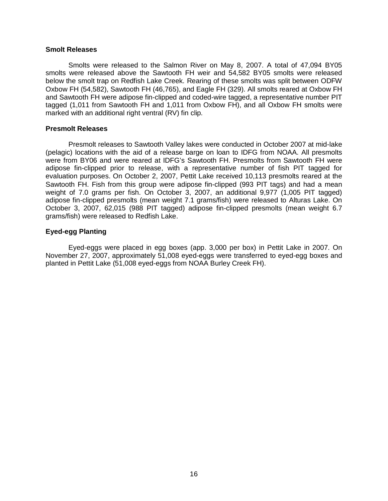#### <span id="page-19-0"></span>**Smolt Releases**

Smolts were released to the Salmon River on May 8, 2007. A total of 47,094 BY05 smolts were released above the Sawtooth FH weir and 54,582 BY05 smolts were released below the smolt trap on Redfish Lake Creek. Rearing of these smolts was split between ODFW Oxbow FH (54,582), Sawtooth FH (46,765), and Eagle FH (329). All smolts reared at Oxbow FH and Sawtooth FH were adipose fin-clipped and coded-wire tagged, a representative number PIT tagged (1,011 from Sawtooth FH and 1,011 from Oxbow FH), and all Oxbow FH smolts were marked with an additional right ventral (RV) fin clip.

#### <span id="page-19-1"></span>**Presmolt Releases**

Presmolt releases to Sawtooth Valley lakes were conducted in October 2007 at mid-lake (pelagic) locations with the aid of a release barge on loan to IDFG from NOAA. All presmolts were from BY06 and were reared at IDFG's Sawtooth FH. Presmolts from Sawtooth FH were adipose fin-clipped prior to release, with a representative number of fish PIT tagged for evaluation purposes. On October 2, 2007, Pettit Lake received 10,113 presmolts reared at the Sawtooth FH. Fish from this group were adipose fin-clipped (993 PIT tags) and had a mean weight of 7.0 grams per fish. On October 3, 2007, an additional 9,977 (1,005 PIT tagged) adipose fin-clipped presmolts (mean weight 7.1 grams/fish) were released to Alturas Lake. On October 3, 2007, 62,015 (988 PIT tagged) adipose fin-clipped presmolts (mean weight 6.7 grams/fish) were released to Redfish Lake.

### <span id="page-19-2"></span>**Eyed-egg Planting**

Eyed-eggs were placed in egg boxes (app. 3,000 per box) in Pettit Lake in 2007. On November 27, 2007, approximately 51,008 eyed-eggs were transferred to eyed-egg boxes and planted in Pettit Lake (51,008 eyed-eggs from NOAA Burley Creek FH).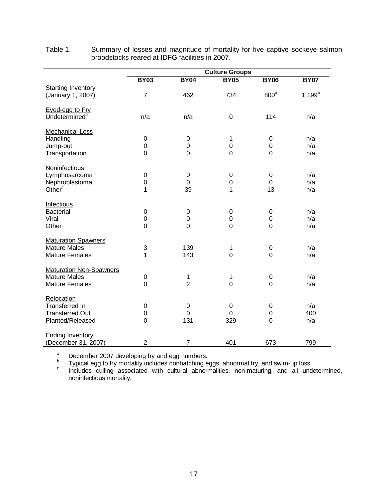| <b>Culture Groups</b> |                                                                                                                                                                                            |                                                                                                        |                                                                           |                                                                                                                                                   |  |
|-----------------------|--------------------------------------------------------------------------------------------------------------------------------------------------------------------------------------------|--------------------------------------------------------------------------------------------------------|---------------------------------------------------------------------------|---------------------------------------------------------------------------------------------------------------------------------------------------|--|
| <b>BY03</b>           | <b>BY04</b>                                                                                                                                                                                | <b>BY05</b>                                                                                            | <b>BY06</b>                                                               | <b>BY07</b>                                                                                                                                       |  |
|                       |                                                                                                                                                                                            |                                                                                                        |                                                                           |                                                                                                                                                   |  |
| $\overline{7}$        | 462                                                                                                                                                                                        | 734                                                                                                    |                                                                           | $1,199^a$                                                                                                                                         |  |
|                       |                                                                                                                                                                                            |                                                                                                        |                                                                           |                                                                                                                                                   |  |
|                       |                                                                                                                                                                                            |                                                                                                        |                                                                           |                                                                                                                                                   |  |
|                       |                                                                                                                                                                                            |                                                                                                        |                                                                           | n/a                                                                                                                                               |  |
|                       |                                                                                                                                                                                            |                                                                                                        |                                                                           |                                                                                                                                                   |  |
|                       |                                                                                                                                                                                            |                                                                                                        |                                                                           | n/a                                                                                                                                               |  |
|                       |                                                                                                                                                                                            |                                                                                                        |                                                                           | n/a                                                                                                                                               |  |
| $\overline{0}$        | $\overline{0}$                                                                                                                                                                             | $\mathbf 0$                                                                                            | $\mathbf 0$                                                               | n/a                                                                                                                                               |  |
|                       |                                                                                                                                                                                            |                                                                                                        |                                                                           |                                                                                                                                                   |  |
|                       |                                                                                                                                                                                            |                                                                                                        |                                                                           |                                                                                                                                                   |  |
| $\mathbf 0$           | 0                                                                                                                                                                                          | 0                                                                                                      | 0                                                                         | n/a                                                                                                                                               |  |
|                       |                                                                                                                                                                                            |                                                                                                        |                                                                           | n/a                                                                                                                                               |  |
| 1                     |                                                                                                                                                                                            | 1                                                                                                      |                                                                           | n/a                                                                                                                                               |  |
|                       |                                                                                                                                                                                            |                                                                                                        |                                                                           |                                                                                                                                                   |  |
|                       |                                                                                                                                                                                            |                                                                                                        |                                                                           |                                                                                                                                                   |  |
|                       |                                                                                                                                                                                            |                                                                                                        |                                                                           | n/a                                                                                                                                               |  |
|                       |                                                                                                                                                                                            |                                                                                                        |                                                                           | n/a                                                                                                                                               |  |
|                       |                                                                                                                                                                                            |                                                                                                        |                                                                           | n/a                                                                                                                                               |  |
|                       |                                                                                                                                                                                            |                                                                                                        |                                                                           |                                                                                                                                                   |  |
|                       | 139                                                                                                                                                                                        | 1                                                                                                      |                                                                           | n/a                                                                                                                                               |  |
| 1                     | 143                                                                                                                                                                                        | $\mathbf 0$                                                                                            | $\overline{0}$                                                            | n/a                                                                                                                                               |  |
|                       |                                                                                                                                                                                            |                                                                                                        |                                                                           |                                                                                                                                                   |  |
|                       |                                                                                                                                                                                            |                                                                                                        |                                                                           |                                                                                                                                                   |  |
|                       | 1                                                                                                                                                                                          | 1                                                                                                      |                                                                           | n/a                                                                                                                                               |  |
|                       |                                                                                                                                                                                            |                                                                                                        |                                                                           | n/a                                                                                                                                               |  |
|                       |                                                                                                                                                                                            |                                                                                                        |                                                                           |                                                                                                                                                   |  |
|                       |                                                                                                                                                                                            |                                                                                                        |                                                                           | n/a                                                                                                                                               |  |
|                       |                                                                                                                                                                                            |                                                                                                        |                                                                           | 400                                                                                                                                               |  |
|                       |                                                                                                                                                                                            |                                                                                                        |                                                                           | n/a                                                                                                                                               |  |
|                       |                                                                                                                                                                                            |                                                                                                        |                                                                           |                                                                                                                                                   |  |
|                       |                                                                                                                                                                                            |                                                                                                        |                                                                           |                                                                                                                                                   |  |
| $\overline{2}$        | 7                                                                                                                                                                                          | 401                                                                                                    | 673                                                                       | 799                                                                                                                                               |  |
|                       | n/a<br>$\mathbf 0$<br>$\boldsymbol{0}$<br>$\mathbf 0$<br>$\boldsymbol{0}$<br>$\mathbf 0$<br>$\overline{0}$<br>3<br>$\mathbf 0$<br>$\mathbf 0$<br>$\mathbf 0$<br>$\mathbf 0$<br>$\mathbf 0$ | n/a<br>0<br>0<br>0<br>39<br>0<br>$\boldsymbol{0}$<br>$\overline{0}$<br>$\overline{2}$<br>0<br>0<br>131 | 0<br>1<br>0<br>0<br>0<br>$\mathsf 0$<br>0<br>$\mathbf 0$<br>0<br>0<br>329 | 800 <sup>a</sup><br>114<br>0<br>$\boldsymbol{0}$<br>0<br>13<br>0<br>$\mathbf 0$<br>0<br>0<br>$\,0\,$<br>$\mathbf 0$<br>0<br>$\boldsymbol{0}$<br>0 |  |

<span id="page-20-0"></span>Table 1. Summary of losses and magnitude of mortality for five captive sockeye salmon broodstocks reared at IDFG facilities in 2007.

a December 2007 developing fry and egg numbers.<br><sup>b</sup> Typical egg to fry mortality includes nonhatching eggs, abnormal fry, and swim-up loss.<br><sup>c</sup> Includes culling associated with cultural abnormalities, non-maturing, and all noninfectious mortality.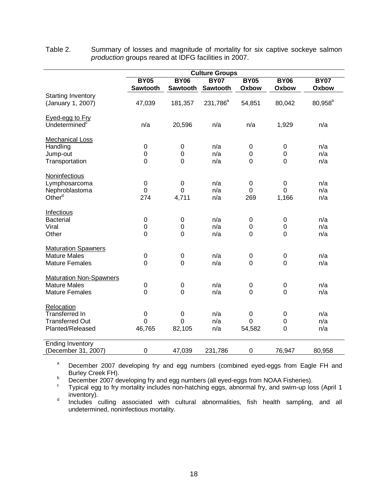|                                                                                   | <b>Culture Groups</b>                     |                                     |                         |                            |                                        |                      |  |
|-----------------------------------------------------------------------------------|-------------------------------------------|-------------------------------------|-------------------------|----------------------------|----------------------------------------|----------------------|--|
|                                                                                   | <b>BY05</b><br>Sawtooth                   | <b>BY06</b><br>Sawtooth             | <b>BY07</b><br>Sawtooth | <b>BY05</b><br>Oxbow       | <b>BY06</b><br>Oxbow                   | <b>BY07</b><br>Oxbow |  |
| <b>Starting Inventory</b><br>(January 1, 2007)                                    | 47,039                                    | 181,357                             | 231,786 <sup>a</sup>    | 54,851                     | 80,042                                 | $80,958^{b}$         |  |
| Eyed-egg to Fry<br>Undetermined <sup>c</sup>                                      | n/a                                       | 20,596                              | n/a                     | n/a                        | 1,929                                  | n/a                  |  |
| <b>Mechanical Loss</b><br>Handling<br>Jump-out<br>Transportation                  | 0<br>$\mathbf 0$<br>0                     | $\mathbf 0$<br>$\mathbf 0$<br>0     | n/a<br>n/a<br>n/a       | 0<br>$\mathbf 0$<br>0      | 0<br>$\mathbf 0$<br>0                  | n/a<br>n/a<br>n/a    |  |
| Noninfectious<br>Lymphosarcoma<br>Nephroblastoma<br>Other <sup>d</sup>            | $\pmb{0}$<br>$\mathbf 0$<br>274           | $\mathbf 0$<br>$\mathbf 0$<br>4,711 | n/a<br>n/a<br>n/a       | 0<br>0<br>269              | $\mathbf 0$<br>$\overline{0}$<br>1,166 | n/a<br>n/a<br>n/a    |  |
| Infectious<br><b>Bacterial</b><br>Viral<br>Other                                  | $\boldsymbol{0}$<br>$\boldsymbol{0}$<br>0 | $\pmb{0}$<br>0<br>$\mathbf 0$       | n/a<br>n/a<br>n/a       | 0<br>$\boldsymbol{0}$<br>0 | 0<br>0<br>0                            | n/a<br>n/a<br>n/a    |  |
| <b>Maturation Spawners</b><br><b>Mature Males</b><br><b>Mature Females</b>        | $\pmb{0}$<br>$\overline{0}$               | $\mathbf 0$<br>$\overline{0}$       | n/a<br>n/a              | 0<br>$\overline{0}$        | $\boldsymbol{0}$<br>$\overline{0}$     | n/a<br>n/a           |  |
| <b>Maturation Non-Spawners</b><br><b>Mature Males</b><br><b>Mature Females</b>    | $\boldsymbol{0}$<br>$\overline{0}$        | $\pmb{0}$<br>$\mathbf 0$            | n/a<br>n/a              | 0<br>0                     | 0<br>$\mathbf 0$                       | n/a<br>n/a           |  |
| Relocation<br><b>Transferred In</b><br><b>Transferred Out</b><br>Planted/Released | $\pmb{0}$<br>0<br>46,765                  | 0<br>$\mathbf 0$<br>82,105          | n/a<br>n/a<br>n/a       | 0<br>0<br>54,582           | 0<br>$\mathbf 0$<br>$\overline{0}$     | n/a<br>n/a<br>n/a    |  |
| <b>Ending Inventory</b><br>(December 31, 2007)                                    | 0                                         | 47,039                              | 231,786                 | $\boldsymbol{0}$           | 76,947                                 | 80,958               |  |

<span id="page-21-0"></span>Table 2. Summary of losses and magnitude of mortality for six captive sockeye salmon *production* groups reared at IDFG facilities in 2007.

<sup>a</sup> December 2007 developing fry and egg numbers (combined eyed-eggs from Eagle FH and Burley Creek FH).

Burley Creek FH).<br>
December 2007 developing fry and egg numbers (all eyed-eggs from NOAA Fisheries).<br>
Typical egg to fry mortality includes non-hatching eggs, abnormal fry, and swim-up loss (April 1<br>
inventory).

<sup>d</sup> Includes culling associated with cultural abnormalities, fish health sampling, and all undetermined, noninfectious mortality.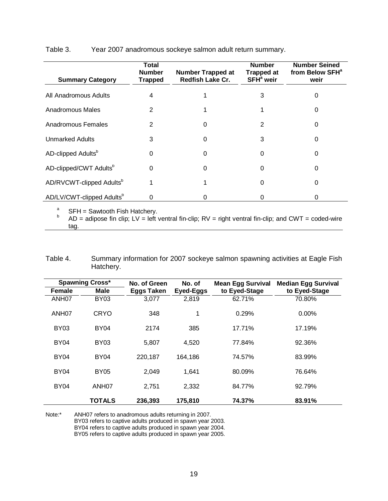<span id="page-22-0"></span>Table 3. Year 2007 anadromous sockeye salmon adult return summary.

| <b>Summary Category</b>               | Total<br><b>Number</b><br><b>Trapped</b> | <b>Number Trapped at</b><br><b>Redfish Lake Cr.</b> | <b>Number</b><br><b>Trapped at</b><br>SFH <sup>ª</sup> weir | <b>Number Seined</b><br>from Below SFH <sup>ª</sup><br>weir |
|---------------------------------------|------------------------------------------|-----------------------------------------------------|-------------------------------------------------------------|-------------------------------------------------------------|
| All Anadromous Adults                 | 4                                        |                                                     | 3                                                           | 0                                                           |
| Anadromous Males                      | 2                                        |                                                     |                                                             | 0                                                           |
| Anadromous Females                    | 2                                        | $\Omega$                                            | 2                                                           | 0                                                           |
| <b>Unmarked Adults</b>                | 3                                        | U                                                   | 3                                                           | 0                                                           |
| AD-clipped Adults <sup>b</sup>        | 0                                        | 0                                                   | $\Omega$                                                    | 0                                                           |
| AD-clipped/CWT Adults <sup>b</sup>    | 0                                        | O                                                   | $\Omega$                                                    | 0                                                           |
| AD/RVCWT-clipped Adults <sup>b</sup>  |                                          |                                                     | $\Omega$                                                    | 0                                                           |
| AD/LV/CWT-clipped Adults <sup>b</sup> | 0                                        |                                                     | O                                                           | O                                                           |

<sup>a</sup> SFH = Sawtooth Fish Hatchery.<br>
<sup>b</sup> AD = adipose fin clip; LV = left ventral fin-clip; RV = right ventral fin-clip; and CWT = coded-wire tag.

<span id="page-22-1"></span>Table 4. Summary information for 2007 sockeye salmon spawning activities at Eagle Fish Hatchery.

| <b>Spawning Cross*</b> |                   | No. of Green<br>No. of |           |               | <b>Mean Egg Survival</b> | <b>Median Egg Survival</b> |  |
|------------------------|-------------------|------------------------|-----------|---------------|--------------------------|----------------------------|--|
| <b>Female</b>          | <b>Male</b>       | <b>Eggs Taken</b>      | Eyed-Eggs | to Eyed-Stage | to Eyed-Stage            |                            |  |
| ANH <sub>07</sub>      | <b>BY03</b>       | 3,077                  | 2,819     | 62.71%        | 70.80%                   |                            |  |
| ANH07                  | <b>CRYO</b>       | 348                    | 1         | 0.29%         | $0.00\%$                 |                            |  |
| <b>BY03</b>            | <b>BY04</b>       | 2174                   | 385       | 17.71%        | 17.19%                   |                            |  |
| <b>BY04</b>            | <b>BY03</b>       | 5,807                  | 4,520     | 77.84%        | 92.36%                   |                            |  |
| <b>BY04</b>            | <b>BY04</b>       | 220,187                | 164,186   | 74.57%        | 83.99%                   |                            |  |
| <b>BY04</b>            | <b>BY05</b>       | 2,049                  | 1,641     | 80.09%        | 76.64%                   |                            |  |
| <b>BY04</b>            | ANH <sub>07</sub> | 2,751                  | 2,332     | 84.77%        | 92.79%                   |                            |  |
|                        | <b>TOTALS</b>     | 236,393                | 175,810   | 74.37%        | 83.91%                   |                            |  |

Note:\* ANH07 refers to anadromous adults returning in 2007.

BY03 refers to captive adults produced in spawn year 2003.

BY04 refers to captive adults produced in spawn year 2004.

BY05 refers to captive adults produced in spawn year 2005.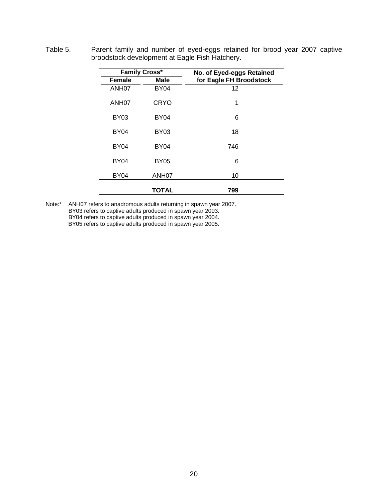|                   | <b>Family Cross*</b> | No. of Eyed-eggs Retained |
|-------------------|----------------------|---------------------------|
| <b>Female</b>     | <b>Male</b>          | for Eagle FH Broodstock   |
| ANH <sub>07</sub> | <b>BY04</b>          | 12                        |
| ANH <sub>07</sub> | <b>CRYO</b>          | 1                         |
| <b>BY03</b>       | <b>BY04</b>          | 6                         |
| <b>BY04</b>       | <b>BY03</b>          | 18                        |
| <b>BY04</b>       | <b>BY04</b>          | 746                       |
| <b>BY04</b>       | <b>BY05</b>          | 6                         |
| <b>BY04</b>       | ANH <sub>07</sub>    | 10                        |
|                   | <b>TOTAL</b>         | 799                       |

<span id="page-23-0"></span>Table 5. Parent family and number of eyed-eggs retained for brood year 2007 captive broodstock development at Eagle Fish Hatchery.

Note:\* ANH07 refers to anadromous adults returning in spawn year 2007. BY03 refers to captive adults produced in spawn year 2003. BY04 refers to captive adults produced in spawn year 2004. BY05 refers to captive adults produced in spawn year 2005.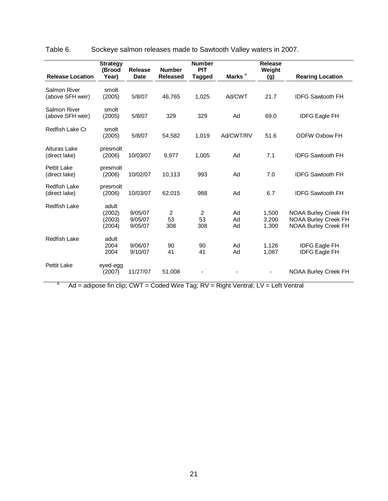| <b>Release Location</b>             | <b>Strategy</b><br>(Brood<br>Year)  | Release<br><b>Date</b>        | <b>Number</b><br><b>Released</b> | <b>Number</b><br><b>PIT</b><br><b>Tagged</b> | Marks <sup>a</sup> | <b>Release</b><br>Weight<br>(g) | <b>Rearing Location</b>                                                                   |
|-------------------------------------|-------------------------------------|-------------------------------|----------------------------------|----------------------------------------------|--------------------|---------------------------------|-------------------------------------------------------------------------------------------|
|                                     |                                     |                               |                                  |                                              |                    |                                 |                                                                                           |
| Salmon River<br>(above SFH weir)    | smolt<br>(2005)                     | 5/8/07                        | 46,765                           | 1,025                                        | Ad/CWT             | 21.7                            | <b>IDFG Sawtooth FH</b>                                                                   |
| Salmon River<br>(above SFH weir)    | smolt<br>(2005)                     | 5/8/07                        | 329                              | 329                                          | Ad                 | 69.0                            | <b>IDFG Eagle FH</b>                                                                      |
| Redfish Lake Cr                     | smolt<br>(2005)                     | 5/8/07                        | 54,582                           | 1,019                                        | Ad/CWT/RV          | 51.6                            | <b>ODFW Oxbow FH</b>                                                                      |
| Alturas Lake<br>(direct lake)       | presmolt<br>(2006)                  | 10/03/07                      | 9,977                            | 1,005                                        | Ad                 | 7.1                             | <b>IDFG Sawtooth FH</b>                                                                   |
| <b>Pettit Lake</b><br>(direct lake) | presmolt<br>(2006)                  | 10/02/07                      | 10,113                           | 993                                          | Ad                 | 7.0                             | <b>IDFG Sawtooth FH</b>                                                                   |
| Redfish Lake<br>(direct lake)       | presmolt<br>(2006)                  | 10/03/07                      | 62,015                           | 988                                          | Ad                 | 6.7                             | <b>IDFG Sawtooth FH</b>                                                                   |
| <b>Redfish Lake</b>                 | adult<br>(2002)<br>(2003)<br>(2004) | 9/05/07<br>9/05/07<br>9/05/07 | $\overline{2}$<br>53<br>308      | 2<br>53<br>308                               | Ad<br>Ad<br>Ad     | 1.500<br>3,200<br>1,300         | <b>NOAA Burley Creek FH</b><br><b>NOAA Burley Creek FH</b><br><b>NOAA Burley Creek FH</b> |
| <b>Redfish Lake</b>                 | adult<br>2004<br>2004               | 9/06/07<br>9/10/07            | 90<br>41                         | 90<br>41                                     | Ad<br>Ad           | 1,126<br>1,087                  | <b>IDFG Eagle FH</b><br><b>IDFG Eagle FH</b>                                              |
| <b>Pettit Lake</b>                  | eyed-egg<br>(2007)                  | 11/27/07                      | 51,008                           |                                              |                    |                                 | <b>NOAA Burley Creek FH</b>                                                               |

<span id="page-24-0"></span>Table 6. Sockeye salmon releases made to Sawtooth Valley waters in 2007.

 $a$  Ad = adipose fin clip; CWT = Coded Wire Tag; RV = Right Ventral; LV = Left Ventral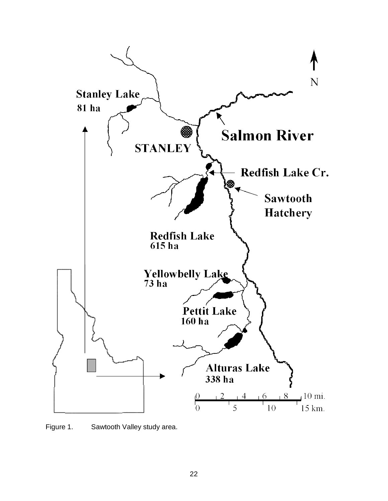

<span id="page-25-0"></span>Figure 1. Sawtooth Valley study area.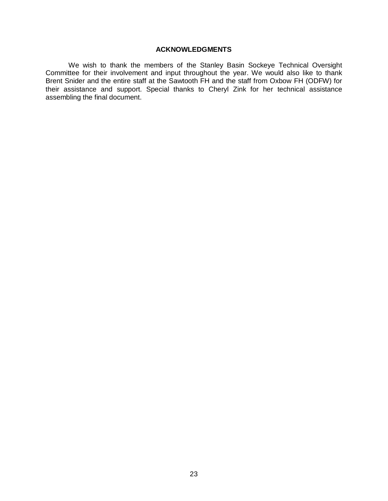#### **ACKNOWLEDGMENTS**

<span id="page-26-0"></span>We wish to thank the members of the Stanley Basin Sockeye Technical Oversight Committee for their involvement and input throughout the year. We would also like to thank Brent Snider and the entire staff at the Sawtooth FH and the staff from Oxbow FH (ODFW) for their assistance and support. Special thanks to Cheryl Zink for her technical assistance assembling the final document.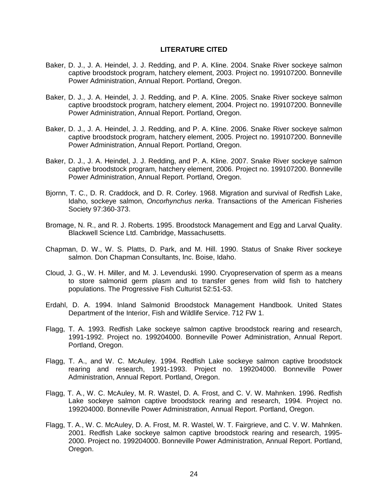#### **LITERATURE CITED**

- <span id="page-27-0"></span>Baker, D. J., J. A. Heindel, J. J. Redding, and P. A. Kline. 2004. Snake River sockeye salmon captive broodstock program, hatchery element, 2003. Project no. 199107200. Bonneville Power Administration, Annual Report. Portland, Oregon.
- Baker, D. J., J. A. Heindel, J. J. Redding, and P. A. Kline. 2005. Snake River sockeye salmon captive broodstock program, hatchery element, 2004. Project no. 199107200. Bonneville Power Administration, Annual Report. Portland, Oregon.
- Baker, D. J., J. A. Heindel, J. J. Redding, and P. A. Kline. 2006. Snake River sockeye salmon captive broodstock program, hatchery element, 2005. Project no. 199107200. Bonneville Power Administration, Annual Report. Portland, Oregon.
- Baker, D. J., J. A. Heindel, J. J. Redding, and P. A. Kline. 2007. Snake River sockeye salmon captive broodstock program, hatchery element, 2006. Project no. 199107200. Bonneville Power Administration, Annual Report. Portland, Oregon.
- Bjornn, T. C., D. R. Craddock, and D. R. Corley. 1968. Migration and survival of Redfish Lake, Idaho, sockeye salmon, *Oncorhynchus nerka*. Transactions of the American Fisheries Society 97:360-373.
- Bromage, N. R., and R. J. Roberts. 1995. Broodstock Management and Egg and Larval Quality. Blackwell Science Ltd. Cambridge, Massachusetts.
- Chapman, D. W., W. S. Platts, D. Park, and M. Hill. 1990. Status of Snake River sockeye salmon. Don Chapman Consultants, Inc. Boise, Idaho.
- Cloud, J. G., W. H. Miller, and M. J. Levenduski. 1990. Cryopreservation of sperm as a means to store salmonid germ plasm and to transfer genes from wild fish to hatchery populations. The Progressive Fish Culturist 52:51-53.
- Erdahl, D. A. 1994. Inland Salmonid Broodstock Management Handbook. United States Department of the Interior, Fish and Wildlife Service. 712 FW 1.
- Flagg, T. A. 1993. Redfish Lake sockeye salmon captive broodstock rearing and research, 1991-1992. Project no. 199204000. Bonneville Power Administration, Annual Report. Portland, Oregon.
- Flagg, T. A., and W. C. McAuley. 1994. Redfish Lake sockeye salmon captive broodstock rearing and research, 1991-1993. Project no. 199204000. Bonneville Power Administration, Annual Report. Portland, Oregon.
- Flagg, T. A., W. C. McAuley, M. R. Wastel, D. A. Frost, and C. V. W. Mahnken. 1996. Redfish Lake sockeye salmon captive broodstock rearing and research, 1994. Project no. 199204000. Bonneville Power Administration, Annual Report. Portland, Oregon.
- Flagg, T. A., W. C. McAuley, D. A. Frost, M. R. Wastel, W. T. Fairgrieve, and C. V. W. Mahnken. 2001. Redfish Lake sockeye salmon captive broodstock rearing and research, 1995- 2000. Project no. 199204000. Bonneville Power Administration, Annual Report. Portland, Oregon.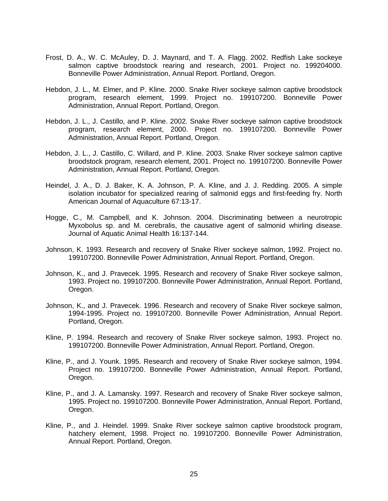- Frost, D. A., W. C. McAuley, D. J. Maynard, and T. A. Flagg. 2002. Redfish Lake sockeye salmon captive broodstock rearing and research, 2001. Project no. 199204000. Bonneville Power Administration, Annual Report. Portland, Oregon.
- Hebdon, J. L., M. Elmer, and P. Kline. 2000. Snake River sockeye salmon captive broodstock program, research element, 1999. Project no. 199107200. Bonneville Power Administration, Annual Report. Portland, Oregon.
- Hebdon, J. L., J. Castillo, and P. Kline. 2002. Snake River sockeye salmon captive broodstock program, research element, 2000. Project no. 199107200. Bonneville Power Administration, Annual Report. Portland, Oregon.
- Hebdon, J. L., J. Castillo, C. Willard, and P. Kline. 2003. Snake River sockeye salmon captive broodstock program, research element, 2001. Project no. 199107200. Bonneville Power Administration, Annual Report. Portland, Oregon.
- Heindel, J. A., D. J. Baker, K. A. Johnson, P. A. Kline, and J. J. Redding. 2005. A simple isolation incubator for specialized rearing of salmonid eggs and first-feeding fry. North American Journal of Aquaculture 67:13-17.
- Hogge, C., M. Campbell, and K. Johnson. 2004. Discriminating between a neurotropic Myxobolus sp. and M. cerebralis, the causative agent of salmonid whirling disease. Journal of Aquatic Animal Health 16:137-144.
- Johnson, K. 1993. Research and recovery of Snake River sockeye salmon, 1992. Project no. 199107200. Bonneville Power Administration, Annual Report. Portland, Oregon.
- Johnson, K., and J. Pravecek. 1995. Research and recovery of Snake River sockeye salmon, 1993. Project no. 199107200. Bonneville Power Administration, Annual Report. Portland, Oregon.
- Johnson, K., and J. Pravecek. 1996. Research and recovery of Snake River sockeye salmon, 1994-1995. Project no. 199107200. Bonneville Power Administration, Annual Report. Portland, Oregon.
- Kline, P. 1994. Research and recovery of Snake River sockeye salmon, 1993. Project no. 199107200. Bonneville Power Administration, Annual Report. Portland, Oregon.
- Kline, P., and J. Younk. 1995. Research and recovery of Snake River sockeye salmon, 1994. Project no. 199107200. Bonneville Power Administration, Annual Report. Portland, Oregon.
- Kline, P., and J. A. Lamansky. 1997. Research and recovery of Snake River sockeye salmon, 1995. Project no. 199107200. Bonneville Power Administration, Annual Report. Portland, Oregon.
- Kline, P., and J. Heindel. 1999. Snake River sockeye salmon captive broodstock program, hatchery element, 1998. Project no. 199107200. Bonneville Power Administration, Annual Report. Portland, Oregon.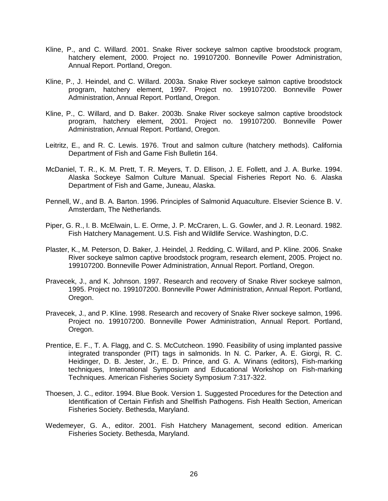- Kline, P., and C. Willard. 2001. Snake River sockeye salmon captive broodstock program, hatchery element, 2000. Project no. 199107200. Bonneville Power Administration, Annual Report. Portland, Oregon.
- Kline, P., J. Heindel, and C. Willard. 2003a. Snake River sockeye salmon captive broodstock program, hatchery element, 1997. Project no. 199107200. Bonneville Power Administration, Annual Report. Portland, Oregon.
- Kline, P., C. Willard, and D. Baker. 2003b. Snake River sockeye salmon captive broodstock program, hatchery element, 2001. Project no. 199107200. Bonneville Power Administration, Annual Report. Portland, Oregon.
- Leitritz, E., and R. C. Lewis. 1976. Trout and salmon culture (hatchery methods). California Department of Fish and Game Fish Bulletin 164.
- McDaniel, T. R., K. M. Prett, T. R. Meyers, T. D. Ellison, J. E. Follett, and J. A. Burke. 1994. Alaska Sockeye Salmon Culture Manual. Special Fisheries Report No. 6. Alaska Department of Fish and Game, Juneau, Alaska.
- Pennell, W., and B. A. Barton. 1996. Principles of Salmonid Aquaculture. Elsevier Science B. V. Amsterdam, The Netherlands.
- Piper, G. R., I. B. McElwain, L. E. Orme, J. P. McCraren, L. G. Gowler, and J. R. Leonard. 1982. Fish Hatchery Management. U.S. Fish and Wildlife Service. Washington, D.C.
- Plaster, K., M. Peterson, D. Baker, J. Heindel, J. Redding, C. Willard, and P. Kline. 2006. Snake River sockeye salmon captive broodstock program, research element, 2005. Project no. 199107200. Bonneville Power Administration, Annual Report. Portland, Oregon.
- Pravecek, J., and K. Johnson. 1997. Research and recovery of Snake River sockeye salmon, 1995. Project no. 199107200. Bonneville Power Administration, Annual Report. Portland, Oregon.
- Pravecek, J., and P. Kline. 1998. Research and recovery of Snake River sockeye salmon, 1996. Project no. 199107200. Bonneville Power Administration, Annual Report. Portland, Oregon.
- Prentice, E. F., T. A. Flagg, and C. S. McCutcheon. 1990. Feasibility of using implanted passive integrated transponder (PIT) tags in salmonids. In N. C. Parker, A. E. Giorgi, R. C. Heidinger, D. B. Jester, Jr., E. D. Prince, and G. A. Winans (editors), Fish-marking techniques, International Symposium and Educational Workshop on Fish-marking Techniques. American Fisheries Society Symposium 7:317-322.
- Thoesen, J. C., editor. 1994. Blue Book. Version 1. Suggested Procedures for the Detection and Identification of Certain Finfish and Shellfish Pathogens. Fish Health Section, American Fisheries Society. Bethesda, Maryland.
- Wedemeyer, G. A., editor. 2001. Fish Hatchery Management, second edition. American Fisheries Society. Bethesda, Maryland.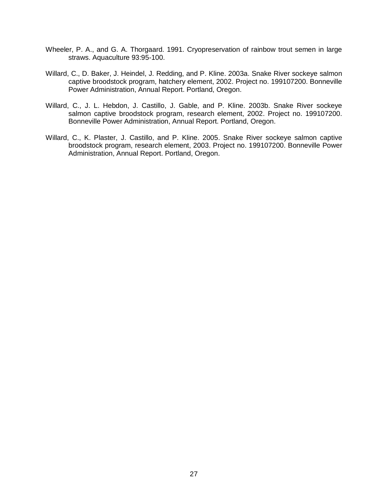- Wheeler, P. A., and G. A. Thorgaard. 1991. Cryopreservation of rainbow trout semen in large straws. Aquaculture 93:95-100.
- Willard, C., D. Baker, J. Heindel, J. Redding, and P. Kline. 2003a. Snake River sockeye salmon captive broodstock program, hatchery element, 2002. Project no. 199107200. Bonneville Power Administration, Annual Report. Portland, Oregon.
- Willard, C., J. L. Hebdon, J. Castillo, J. Gable, and P. Kline. 2003b. Snake River sockeye salmon captive broodstock program, research element, 2002. Project no. 199107200. Bonneville Power Administration, Annual Report. Portland, Oregon.
- Willard, C., K. Plaster, J. Castillo, and P. Kline. 2005. Snake River sockeye salmon captive broodstock program, research element, 2003. Project no. 199107200. Bonneville Power Administration, Annual Report. Portland, Oregon.